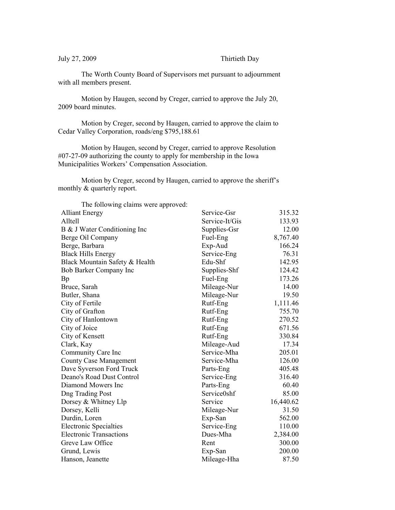July 27, 2009 Thirtieth Day

The Worth County Board of Supervisors met pursuant to adjournment with all members present.

Motion by Haugen, second by Creger, carried to approve the July 20, 2009 board minutes.

Motion by Creger, second by Haugen, carried to approve the claim to Cedar Valley Corporation, roads/eng \$795,188.61

Motion by Haugen, second by Creger, carried to approve Resolution #07-27-09 authorizing the county to apply for membership in the Iowa Municipalities Workers' Compensation Association.

Motion by Creger, second by Haugen, carried to approve the sheriff's monthly & quarterly report.

| The following claims were approved: |                |           |
|-------------------------------------|----------------|-----------|
| <b>Alliant Energy</b>               | Service-Gsr    | 315.32    |
| Alltell                             | Service-It/Gis | 133.93    |
| B & J Water Conditioning Inc        | Supplies-Gsr   | 12.00     |
| Berge Oil Company                   | Fuel-Eng       | 8,767.40  |
| Berge, Barbara                      | Exp-Aud        | 166.24    |
| <b>Black Hills Energy</b>           | Service-Eng    | 76.31     |
| Black Mountain Safety & Health      | Edu-Shf        | 142.95    |
| Bob Barker Company Inc              | Supplies-Shf   | 124.42    |
| Bp                                  | Fuel-Eng       | 173.26    |
| Bruce, Sarah                        | Mileage-Nur    | 14.00     |
| Butler, Shana                       | Mileage-Nur    | 19.50     |
| City of Fertile                     | Rutf-Eng       | 1,111.46  |
| City of Grafton                     | Rutf-Eng       | 755.70    |
| City of Hanlontown                  | Rutf-Eng       | 270.52    |
| City of Joice                       | Rutf-Eng       | 671.56    |
| City of Kensett                     | Rutf-Eng       | 330.84    |
| Clark, Kay                          | Mileage-Aud    | 17.34     |
| Community Care Inc                  | Service-Mha    | 205.01    |
| <b>County Case Management</b>       | Service-Mha    | 126.00    |
| Dave Syverson Ford Truck            | Parts-Eng      | 405.48    |
| Deano's Road Dust Control           | Service-Eng    | 316.40    |
| Diamond Mowers Inc                  | Parts-Eng      | 60.40     |
| <b>Dng Trading Post</b>             | Service0shf    | 85.00     |
| Dorsey & Whitney Llp                | Service        | 16,440.62 |
| Dorsey, Kelli                       | Mileage-Nur    | 31.50     |
| Durdin, Loren                       | Exp-San        | 562.00    |
| <b>Electronic Specialties</b>       | Service-Eng    | 110.00    |
| <b>Electronic Transactions</b>      | Dues-Mha       | 2,384.00  |
| Greve Law Office                    | Rent           | 300.00    |
| Grund, Lewis                        | Exp-San        | 200.00    |
| Hanson, Jeanette                    | Mileage-Hha    | 87.50     |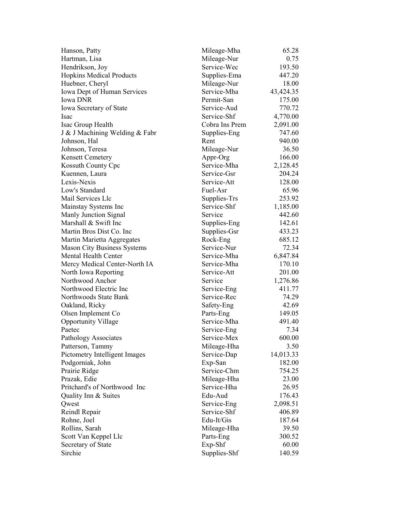| Hanson, Patty                      | Mileage-Mha    | 65.28     |
|------------------------------------|----------------|-----------|
| Hartman, Lisa                      | Mileage-Nur    | 0.75      |
| Hendrikson, Joy                    | Service-Wec    | 193.50    |
| <b>Hopkins Medical Products</b>    | Supplies-Ema   | 447.20    |
| Huebner, Cheryl                    | Mileage-Nur    | 18.00     |
| Iowa Dept of Human Services        | Service-Mha    | 43,424.35 |
| <b>Iowa DNR</b>                    | Permit-San     | 175.00    |
| Iowa Secretary of State            | Service-Aud    | 770.72    |
| <b>Isac</b>                        | Service-Shf    | 4,770.00  |
| Isac Group Health                  | Cobra Ins Prem | 2,091.00  |
| J & J Machining Welding & Fabr     | Supplies-Eng   | 747.60    |
| Johnson, Hal                       | Rent           | 940.00    |
| Johnson, Teresa                    | Mileage-Nur    | 36.50     |
| <b>Kensett Cemetery</b>            | Appr-Org       | 166.00    |
| Kossuth County Cpc                 | Service-Mha    | 2,128.45  |
| Kuennen, Laura                     | Service-Gsr    | 204.24    |
| Lexis-Nexis                        | Service-Att    | 128.00    |
| Low's Standard                     | Fuel-Asr       | 65.96     |
| Mail Services Llc                  | Supplies-Trs   | 253.92    |
| Mainstay Systems Inc               | Service-Shf    | 1,185.00  |
| Manly Junction Signal              | Service        | 442.60    |
| Marshall & Swift Inc               | Supplies-Eng   | 142.61    |
| Martin Bros Dist Co. Inc           | Supplies-Gsr   | 433.23    |
| Martin Marietta Aggregates         | Rock-Eng       | 685.12    |
| <b>Mason City Business Systems</b> | Service-Nur    | 72.34     |
| Mental Health Center               | Service-Mha    | 6,847.84  |
| Mercy Medical Center-North IA      | Service-Mha    | 170.10    |
| North Iowa Reporting               | Service-Att    | 201.00    |
| Northwood Anchor                   | Service        | 1,276.86  |
| Northwood Electric Inc             | Service-Eng    | 411.77    |
| Northwoods State Bank              | Service-Rec    | 74.29     |
| Oakland, Ricky                     | Safety-Eng     | 42.69     |
| Olsen Implement Co                 | Parts-Eng      | 149.05    |
| <b>Opportunity Village</b>         | Service-Mha    | 491.40    |
| Paetec                             | Service-Eng    | 7.34      |
| <b>Pathology Associates</b>        | Service-Mex    | 600.00    |
| Patterson, Tammy                   | Mileage-Hha    | 3.50      |
| Pictometry Intelligent Images      | Service-Dap    | 14,013.33 |
| Podgorniak, John                   | Exp-San        | 182.00    |
| Prairie Ridge                      | Service-Chm    | 754.25    |
| Prazak, Edie                       | Mileage-Hha    | 23.00     |
| Pritchard's of Northwood Inc       | Service-Hha    | 26.95     |
| Quality Inn & Suites               | Edu-Aud        | 176.43    |
| Qwest                              | Service-Eng    | 2,098.51  |
| Reindl Repair                      | Service-Shf    | 406.89    |
|                                    |                |           |
| Rohne, Joel                        | Edu-It/Gis     | 187.64    |
| Rollins, Sarah                     | Mileage-Hha    | 39.50     |
| Scott Van Keppel Llc               | Parts-Eng      | 300.52    |
| Secretary of State                 | Exp-Shf        | 60.00     |
| Sirchie                            | Supplies-Shf   | 140.59    |